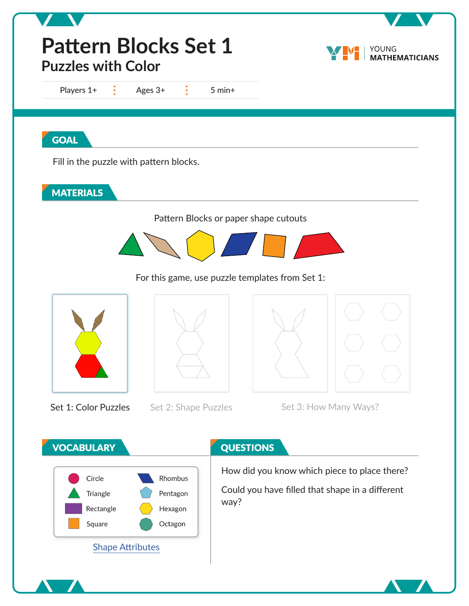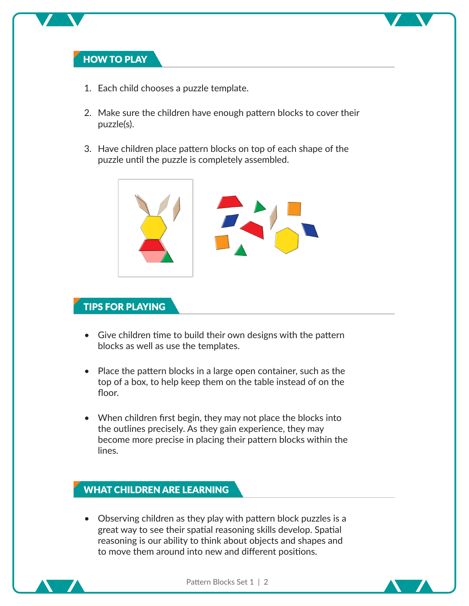## **HOW TO PLAY**

- 1. Each child chooses a puzzle template.
- 2. Make sure the children have enough pattern blocks to cover their puzzle(s).
- 3. Have children place pattern blocks on top of each shape of the puzzle until the puzzle is completely assembled.



## **TIPS FOR PLAYING**

- Give children time to build their own designs with the pattern blocks as well as use the templates.
- Place the pattern blocks in a large open container, such as the top of a box, to help keep them on the table instead of on the floor.
- When children first begin, they may not place the blocks into the outlines precisely. As they gain experience, they may become more precise in placing their pattern blocks within the lines.

## **WHAT CHILDREN ARE LEARNING**

• Observing children as they play with pattern block puzzles is a great way to see their spatial reasoning skills develop. Spatial reasoning is our ability to think about objects and shapes and to move them around into new and different positions.